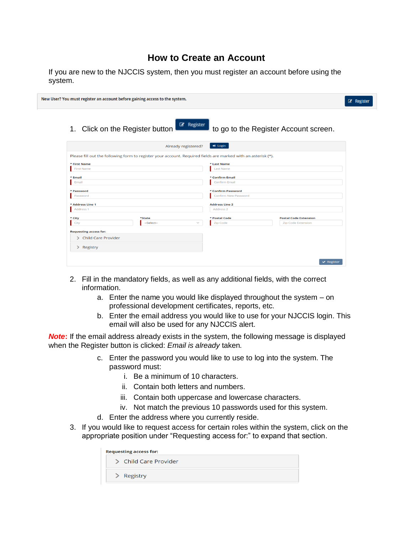## **How to Create an Account**

|         |  |  |  |  |  | If you are new to the NJCCIS system, then you must register an account before using the |  |  |
|---------|--|--|--|--|--|-----------------------------------------------------------------------------------------|--|--|
| system. |  |  |  |  |  |                                                                                         |  |  |

|            |                                 |                                                                                                    |          |                                                                                                               | Register                                                                |
|------------|---------------------------------|----------------------------------------------------------------------------------------------------|----------|---------------------------------------------------------------------------------------------------------------|-------------------------------------------------------------------------|
|            |                                 |                                                                                                    |          |                                                                                                               |                                                                         |
|            |                                 | $\bigstar$ Login                                                                                   |          |                                                                                                               |                                                                         |
|            |                                 |                                                                                                    |          |                                                                                                               |                                                                         |
|            |                                 | * Last Name                                                                                        |          |                                                                                                               |                                                                         |
|            |                                 | <b>Last Name</b>                                                                                   |          |                                                                                                               |                                                                         |
|            |                                 | * Confirm Email                                                                                    |          |                                                                                                               |                                                                         |
|            |                                 | Confirm Email                                                                                      |          |                                                                                                               |                                                                         |
|            |                                 | * Confirm Password                                                                                 |          |                                                                                                               |                                                                         |
|            |                                 | Confirm New Password                                                                               |          |                                                                                                               |                                                                         |
|            |                                 | <b>Address Line 2</b>                                                                              |          |                                                                                                               |                                                                         |
|            |                                 | Address <sub>2</sub>                                                                               |          |                                                                                                               |                                                                         |
| *State     |                                 | * Postal Code                                                                                      |          | <b>Postal Code Extension</b>                                                                                  |                                                                         |
| --Select-- | $\checkmark$                    | Zip Code                                                                                           |          | <b>Zip Code Extension</b>                                                                                     |                                                                         |
|            |                                 |                                                                                                    |          |                                                                                                               |                                                                         |
|            |                                 |                                                                                                    |          |                                                                                                               |                                                                         |
|            |                                 |                                                                                                    |          |                                                                                                               |                                                                         |
|            |                                 |                                                                                                    |          |                                                                                                               |                                                                         |
|            |                                 |                                                                                                    |          |                                                                                                               |                                                                         |
|            | 1. Click on the Register button | New User? You must register an account before gaining access to the system.<br>Already registered? | Register | Please fill out the following form to register your account. Required fields are marked with an asterisk (*). | to go to the Register Account screen.<br>$\blacktriangleright$ Register |

- 2. Fill in the mandatory fields, as well as any additional fields, with the correct information.
	- a. Enter the name you would like displayed throughout the system on professional development certificates, reports, etc.
	- b. Enter the email address you would like to use for your NJCCIS login. This email will also be used for any NJCCIS alert.

*Note***:** If the email address already exists in the system, the following message is displayed when the Register button is clicked: *Email is already* taken*.*

- c. Enter the password you would like to use to log into the system. The password must:
	- i. Be a minimum of 10 characters.
	- ii. Contain both letters and numbers.
	- iii. Contain both uppercase and lowercase characters.
	- iv. Not match the previous 10 passwords used for this system.
- d. Enter the address where you currently reside.
- 3. If you would like to request access for certain roles within the system, click on the appropriate position under "Requesting access for:" to expand that section.

| <b>Requesting access for:</b> |
|-------------------------------|
| > Child Care Provider         |
| $\geq$ Registry               |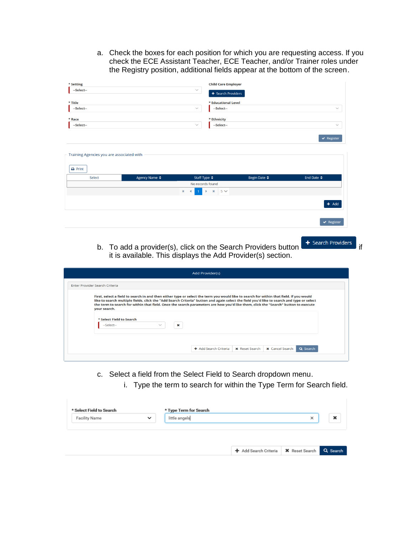a. Check the boxes for each position for which you are requesting access. If you check the ECE Assistant Teacher, ECE Teacher, and/or Trainer roles under the Registry position, additional fields appear at the bottom of the screen.

| * Setting                                                        |               |                                                        | <b>Child Care Employer</b> |                       |                                |
|------------------------------------------------------------------|---------------|--------------------------------------------------------|----------------------------|-----------------------|--------------------------------|
| --Select--                                                       |               | $\checkmark$                                           | $+$ Search Providers       |                       |                                |
| * Title                                                          |               |                                                        | * Educational Level        |                       |                                |
| --Select--                                                       |               | $\checkmark$                                           | --Select--                 |                       | $\checkmark$                   |
| $*$ Race                                                         |               |                                                        | * Ethnicity                |                       |                                |
| --Select--                                                       |               | $\checkmark$                                           | --Select--                 |                       | $\checkmark$                   |
|                                                                  |               |                                                        |                            |                       | $\blacktriangleright$ Register |
|                                                                  |               |                                                        |                            |                       |                                |
|                                                                  |               |                                                        |                            |                       |                                |
|                                                                  |               |                                                        |                            |                       |                                |
|                                                                  |               |                                                        |                            |                       |                                |
| Training Agencies you are associated with<br>$\rightarrow$ Print |               |                                                        |                            |                       |                                |
| Select                                                           | Agency Name ♦ | Staff Type $\triangleq$                                | Begin Date ♦               | End Date $\triangleq$ |                                |
|                                                                  |               | No records found                                       |                            |                       |                                |
|                                                                  |               | $\mathbb{H}$<br>$\mathsf{M}$<br>×<br>∢<br>$\mathbf{1}$ | $5 \vee$                   |                       |                                |
|                                                                  |               |                                                        |                            |                       |                                |
|                                                                  |               |                                                        |                            |                       | $+$ Add                        |
|                                                                  |               |                                                        |                            |                       |                                |
|                                                                  |               |                                                        |                            |                       | $\blacktriangleright$ Register |
|                                                                  |               |                                                        |                            |                       |                                |

b. To add a provider(s), click on the Search Providers button it is available. This displays the Add Provider(s) section.

| <b>Add Provider(s)</b>                                      |                                                                                                                                                                                                                                                                                                                                                                                                                            |
|-------------------------------------------------------------|----------------------------------------------------------------------------------------------------------------------------------------------------------------------------------------------------------------------------------------------------------------------------------------------------------------------------------------------------------------------------------------------------------------------------|
| Enter Provider Search Criteria                              |                                                                                                                                                                                                                                                                                                                                                                                                                            |
| your search.                                                |                                                                                                                                                                                                                                                                                                                                                                                                                            |
| * Select Field to Search<br>×<br>--Select--<br>$\checkmark$ |                                                                                                                                                                                                                                                                                                                                                                                                                            |
|                                                             |                                                                                                                                                                                                                                                                                                                                                                                                                            |
|                                                             | First, select a field to search in and then either type or select the term you would like to search for within that field. If you would<br>like to search multiple fields, click the "Add Search Criteria" button and again select the field you'd like to search and type or select<br>the term to search for within that field. Once the search parameters are how you'd like them, click the "Search" button to execute |

- c. Select a field from the Select Field to Search dropdown menu.
	- i. Type the term to search for within the Type Term for Search field.

+ Add Search Criteria | \* Reset Search | Q. Search |

| <b>Facility Name</b> | $\checkmark$ | little angels | × | × |
|----------------------|--------------|---------------|---|---|
|----------------------|--------------|---------------|---|---|